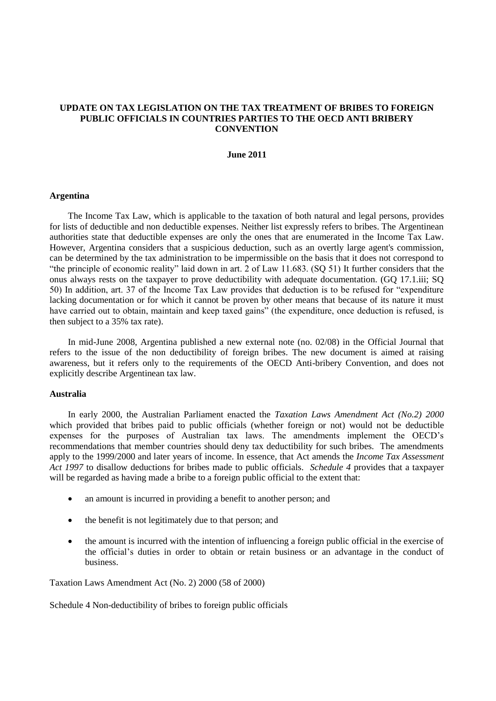# **UPDATE ON TAX LEGISLATION ON THE TAX TREATMENT OF BRIBES TO FOREIGN PUBLIC OFFICIALS IN COUNTRIES PARTIES TO THE OECD ANTI BRIBERY CONVENTION**

## **June 2011**

## **Argentina**

The Income Tax Law, which is applicable to the taxation of both natural and legal persons, provides for lists of deductible and non deductible expenses. Neither list expressly refers to bribes. The Argentinean authorities state that deductible expenses are only the ones that are enumerated in the Income Tax Law. However, Argentina considers that a suspicious deduction, such as an overtly large agent's commission, can be determined by the tax administration to be impermissible on the basis that it does not correspond to "the principle of economic reality" laid down in art. 2 of Law  $11.683$ . (SQ 51) It further considers that the onus always rests on the taxpayer to prove deductibility with adequate documentation. (GQ 17.1.iii; SQ 50) In addition, art. 37 of the Income Tax Law provides that deduction is to be refused for "expenditure" lacking documentation or for which it cannot be proven by other means that because of its nature it must have carried out to obtain, maintain and keep taxed gains" (the expenditure, once deduction is refused, is then subject to a 35% tax rate).

In mid-June 2008, Argentina published a new external note (no. 02/08) in the Official Journal that refers to the issue of the non deductibility of foreign bribes. The new document is aimed at raising awareness, but it refers only to the requirements of the OECD Anti-bribery Convention, and does not explicitly describe Argentinean tax law.

## **Australia**

In early 2000, the Australian Parliament enacted the *Taxation Laws Amendment Act (No.2) 2000* which provided that bribes paid to public officials (whether foreign or not) would not be deductible expenses for the purposes of Australian tax laws. The amendments implement the OECD's recommendations that member countries should deny tax deductibility for such bribes. The amendments apply to the 1999/2000 and later years of income. In essence, that Act amends the *Income Tax Assessment Act 1997* to disallow deductions for bribes made to public officials*. Schedule 4* provides that a taxpayer will be regarded as having made a bribe to a foreign public official to the extent that:

- an amount is incurred in providing a benefit to another person; and
- the benefit is not legitimately due to that person; and
- the amount is incurred with the intention of influencing a foreign public official in the exercise of the official's duties in order to obtain or retain business or an advantage in the conduct of business.

Taxation Laws Amendment Act (No. 2) 2000 (58 of 2000)

Schedule 4 Non-deductibility of bribes to foreign public officials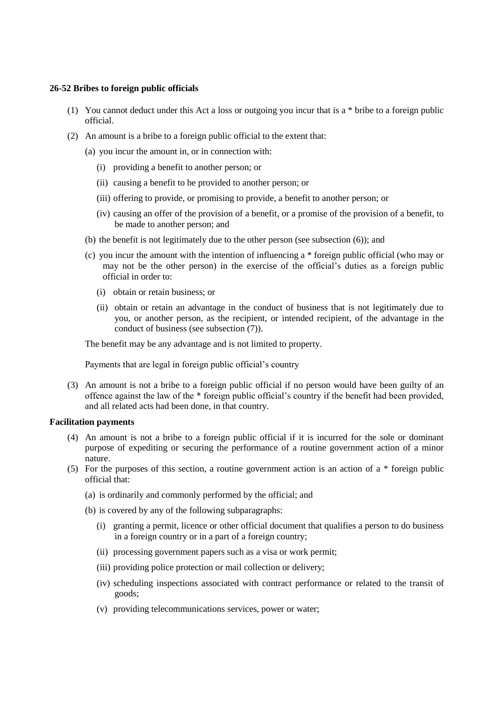# **26-52 Bribes to foreign public officials**

- (1) You cannot deduct under this Act a loss or outgoing you incur that is a \* bribe to a foreign public official.
- (2) An amount is a bribe to a foreign public official to the extent that:
	- (a) you incur the amount in, or in connection with:
		- (i) providing a benefit to another person; or
		- (ii) causing a benefit to be provided to another person; or
		- (iii) offering to provide, or promising to provide, a benefit to another person; or
		- (iv) causing an offer of the provision of a benefit, or a promise of the provision of a benefit, to be made to another person; and
	- (b) the benefit is not legitimately due to the other person (see subsection (6)); and
	- (c) you incur the amount with the intention of influencing a \* foreign public official (who may or may not be the other person) in the exercise of the official's duties as a foreign public official in order to:
		- (i) obtain or retain business; or
		- (ii) obtain or retain an advantage in the conduct of business that is not legitimately due to you, or another person, as the recipient, or intended recipient, of the advantage in the conduct of business (see subsection (7)).

The benefit may be any advantage and is not limited to property.

Payments that are legal in foreign public official's country

(3) An amount is not a bribe to a foreign public official if no person would have been guilty of an offence against the law of the \* foreign public official's country if the benefit had been provided, and all related acts had been done, in that country.

## **Facilitation payments**

- (4) An amount is not a bribe to a foreign public official if it is incurred for the sole or dominant purpose of expediting or securing the performance of a routine government action of a minor nature.
- (5) For the purposes of this section, a routine government action is an action of a \* foreign public official that:
	- (a) is ordinarily and commonly performed by the official; and
	- (b) is covered by any of the following subparagraphs:
		- (i) granting a permit, licence or other official document that qualifies a person to do business in a foreign country or in a part of a foreign country;
		- (ii) processing government papers such as a visa or work permit;
		- (iii) providing police protection or mail collection or delivery;
		- (iv) scheduling inspections associated with contract performance or related to the transit of goods;
		- (v) providing telecommunications services, power or water;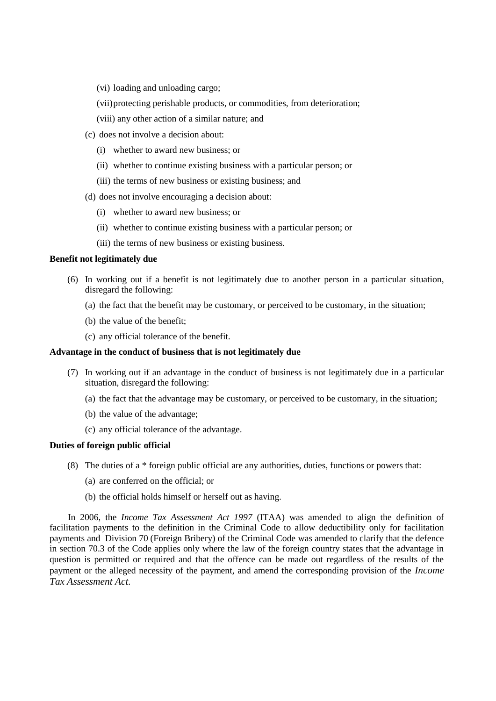- (vi) loading and unloading cargo;
- (vii)protecting perishable products, or commodities, from deterioration;
- (viii) any other action of a similar nature; and
- (c) does not involve a decision about:
	- (i) whether to award new business; or
	- (ii) whether to continue existing business with a particular person; or
	- (iii) the terms of new business or existing business; and
- (d) does not involve encouraging a decision about:
	- (i) whether to award new business; or
	- (ii) whether to continue existing business with a particular person; or
	- (iii) the terms of new business or existing business.

# **Benefit not legitimately due**

- (6) In working out if a benefit is not legitimately due to another person in a particular situation, disregard the following:
	- (a) the fact that the benefit may be customary, or perceived to be customary, in the situation;
	- (b) the value of the benefit;
	- (c) any official tolerance of the benefit.

# **Advantage in the conduct of business that is not legitimately due**

- (7) In working out if an advantage in the conduct of business is not legitimately due in a particular situation, disregard the following:
	- (a) the fact that the advantage may be customary, or perceived to be customary, in the situation;
	- (b) the value of the advantage;
	- (c) any official tolerance of the advantage.

## **Duties of foreign public official**

- (8) The duties of a \* foreign public official are any authorities, duties, functions or powers that:
	- (a) are conferred on the official; or
	- (b) the official holds himself or herself out as having.

In 2006, the *Income Tax Assessment Act 1997* (ITAA) was amended to align the definition of facilitation payments to the definition in the Criminal Code to allow deductibility only for facilitation payments and Division 70 (Foreign Bribery) of the Criminal Code was amended to clarify that the defence in section 70.3 of the Code applies only where the law of the foreign country states that the advantage in question is permitted or required and that the offence can be made out regardless of the results of the payment or the alleged necessity of the payment, and amend the corresponding provision of the *Income Tax Assessment Act.*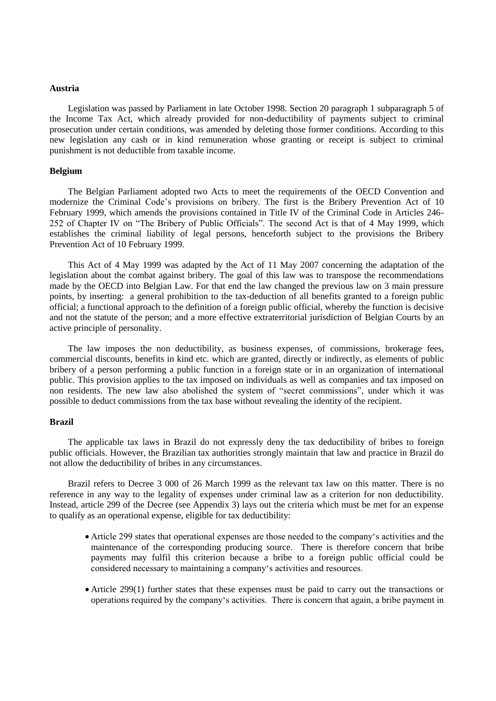## **Austria**

Legislation was passed by Parliament in late October 1998. Section 20 paragraph 1 subparagraph 5 of the Income Tax Act, which already provided for non-deductibility of payments subject to criminal prosecution under certain conditions, was amended by deleting those former conditions. According to this new legislation any cash or in kind remuneration whose granting or receipt is subject to criminal punishment is not deductible from taxable income.

## **Belgium**

The Belgian Parliament adopted two Acts to meet the requirements of the OECD Convention and modernize the Criminal Code's provisions on bribery. The first is the Bribery Prevention Act of 10 February 1999, which amends the provisions contained in Title IV of the Criminal Code in Articles 246- 252 of Chapter IV on "The Bribery of Public Officials". The second Act is that of 4 May 1999, which establishes the criminal liability of legal persons, henceforth subject to the provisions the Bribery Prevention Act of 10 February 1999.

This Act of 4 May 1999 was adapted by the Act of 11 May 2007 concerning the adaptation of the legislation about the combat against bribery. The goal of this law was to transpose the recommendations made by the OECD into Belgian Law. For that end the law changed the previous law on 3 main pressure points, by inserting: a general prohibition to the tax-deduction of all benefits granted to a foreign public official; a functional approach to the definition of a foreign public official, whereby the function is decisive and not the statute of the person; and a more effective extraterritorial jurisdiction of Belgian Courts by an active principle of personality.

The law imposes the non deductibility, as business expenses, of commissions, brokerage fees, commercial discounts, benefits in kind etc. which are granted, directly or indirectly, as elements of public bribery of a person performing a public function in a foreign state or in an organization of international public. This provision applies to the tax imposed on individuals as well as companies and tax imposed on non residents. The new law also abolished the system of "secret commissions", under which it was possible to deduct commissions from the tax base without revealing the identity of the recipient.

## **Brazil**

The applicable tax laws in Brazil do not expressly deny the tax deductibility of bribes to foreign public officials. However, the Brazilian tax authorities strongly maintain that law and practice in Brazil do not allow the deductibility of bribes in any circumstances.

Brazil refers to Decree 3 000 of 26 March 1999 as the relevant tax law on this matter. There is no reference in any way to the legality of expenses under criminal law as a criterion for non deductibility. Instead, article 299 of the Decree (see Appendix 3) lays out the criteria which must be met for an expense to qualify as an operational expense, eligible for tax deductibility:

- Article 299 states that operational expenses are those needed to the company's activities and the maintenance of the corresponding producing source. There is therefore concern that bribe payments may fulfil this criterion because a bribe to a foreign public official could be considered necessary to maintaining a company's activities and resources.
- Article 299(1) further states that these expenses must be paid to carry out the transactions or operations required by the company‗s activities. There is concern that again, a bribe payment in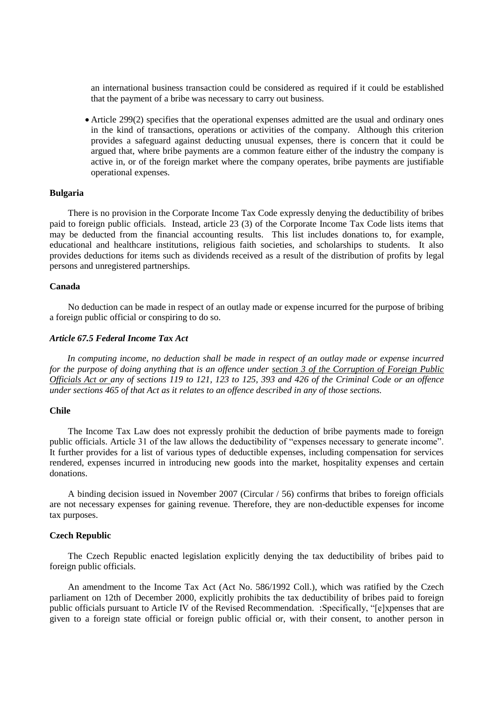an international business transaction could be considered as required if it could be established that the payment of a bribe was necessary to carry out business.

 Article 299(2) specifies that the operational expenses admitted are the usual and ordinary ones in the kind of transactions, operations or activities of the company. Although this criterion provides a safeguard against deducting unusual expenses, there is concern that it could be argued that, where bribe payments are a common feature either of the industry the company is active in, or of the foreign market where the company operates, bribe payments are justifiable operational expenses.

# **Bulgaria**

There is no provision in the Corporate Income Tax Code expressly denying the deductibility of bribes paid to foreign public officials. Instead, article 23 (3) of the Corporate Income Tax Code lists items that may be deducted from the financial accounting results. This list includes donations to, for example, educational and healthcare institutions, religious faith societies, and scholarships to students. It also provides deductions for items such as dividends received as a result of the distribution of profits by legal persons and unregistered partnerships.

# **Canada**

No deduction can be made in respect of an outlay made or expense incurred for the purpose of bribing a foreign public official or conspiring to do so.

## *Article 67.5 Federal Income Tax Act*

*In computing income, no deduction shall be made in respect of an outlay made or expense incurred for the purpose of doing anything that is an offence under section 3 of the Corruption of Foreign Public Officials Act or any of sections 119 to 121, 123 to 125, 393 and 426 of the Criminal Code or an offence under sections 465 of that Act as it relates to an offence described in any of those sections.*

### **Chile**

The Income Tax Law does not expressly prohibit the deduction of bribe payments made to foreign public officials. Article 31 of the law allows the deductibility of "expenses necessary to generate income". It further provides for a list of various types of deductible expenses, including compensation for services rendered, expenses incurred in introducing new goods into the market, hospitality expenses and certain donations.

A binding decision issued in November 2007 (Circular / 56) confirms that bribes to foreign officials are not necessary expenses for gaining revenue. Therefore, they are non-deductible expenses for income tax purposes.

## **Czech Republic**

The Czech Republic enacted legislation explicitly denying the tax deductibility of bribes paid to foreign public officials.

An amendment to the Income Tax Act (Act No. 586/1992 Coll.), which was ratified by the Czech parliament on 12th of December 2000, explicitly prohibits the tax deductibility of bribes paid to foreign public officials pursuant to Article IV of the Revised Recommendation. :Specifically, "[e]xpenses that are given to a foreign state official or foreign public official or, with their consent, to another person in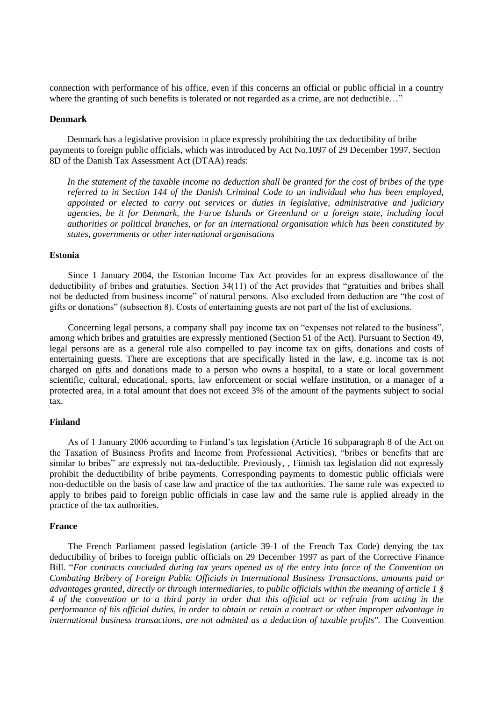connection with performance of his office, even if this concerns an official or public official in a country where the granting of such benefits is tolerated or not regarded as a crime, are not deductible..."

## **Denmark**

Denmark has a legislative provision in place expressly prohibiting the tax deductibility of bribe payments to foreign public officials, which was introduced by Act No.1097 of 29 December 1997. Section 8D of the Danish Tax Assessment Act (DTAA) reads:

*In the statement of the taxable income no deduction shall be granted for the cost of bribes of the type referred to in Section 144 of the Danish Criminal Code to an individual who has been employed, appointed or elected to carry out services or duties in legislative, administrative and judiciary agencies, be it for Denmark, the Faroe Islands or Greenland or a foreign state, including local authorities or political branches, or for an international organisation which has been constituted by states, governments or other international organisations*

## **Estonia**

Since 1 January 2004, the Estonian Income Tax Act provides for an express disallowance of the deductibility of bribes and gratuities. Section  $34(11)$  of the Act provides that "gratuities and bribes shall not be deducted from business income" of natural persons. Also excluded from deduction are "the cost of gifts or donations" (subsection 8). Costs of entertaining guests are not part of the list of exclusions.

Concerning legal persons, a company shall pay income tax on "expenses not related to the business", among which bribes and gratuities are expressly mentioned (Section 51 of the Act). Pursuant to Section 49, legal persons are as a general rule also compelled to pay income tax on gifts, donations and costs of entertaining guests. There are exceptions that are specifically listed in the law, e.g. income tax is not charged on gifts and donations made to a person who owns a hospital, to a state or local government scientific, cultural, educational, sports, law enforcement or social welfare institution, or a manager of a protected area, in a total amount that does not exceed 3% of the amount of the payments subject to social tax.

## **Finland**

As of 1 January 2006 according to Finland's tax legislation (Article 16 subparagraph 8 of the Act on the Taxation of Business Profits and Income from Professional Activities), "bribes or benefits that are similar to bribes" are expressly not tax-deductible. Previously, , Finnish tax legislation did not expressly prohibit the deductibility of bribe payments. Corresponding payments to domestic public officials were non-deductible on the basis of case law and practice of the tax authorities. The same rule was expected to apply to bribes paid to foreign public officials in case law and the same rule is applied already in the practice of the tax authorities.

# **France**

The French Parliament passed legislation (article 39-1 of the French Tax Code) denying the tax deductibility of bribes to foreign public officials on 29 December 1997 as part of the Corrective Finance Bill. "For contracts concluded during tax years opened as of the entry into force of the Convention on *Combating Bribery of Foreign Public Officials in International Business Transactions, amounts paid or advantages granted, directly or through intermediaries, to public officials within the meaning of article 1 § 4 of the convention or to a third party in order that this official act or refrain from acting in the performance of his official duties, in order to obtain or retain a contract or other improper advantage in international business transactions, are not admitted as a deduction of taxable profits".* The Convention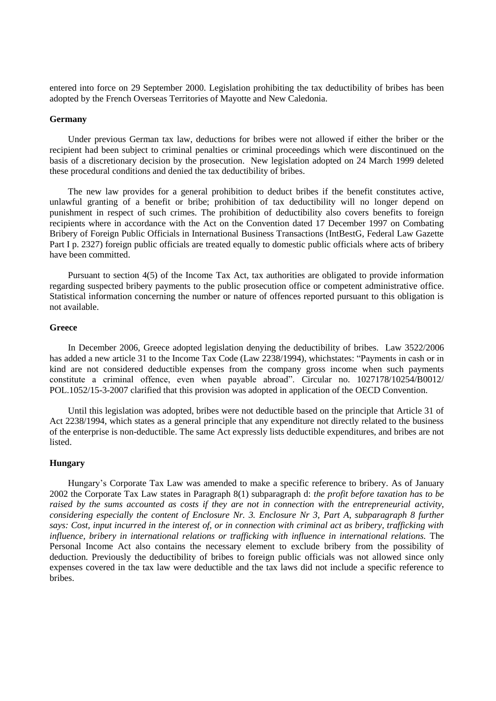entered into force on 29 September 2000. Legislation prohibiting the tax deductibility of bribes has been adopted by the French Overseas Territories of Mayotte and New Caledonia.

## **Germany**

Under previous German tax law, deductions for bribes were not allowed if either the briber or the recipient had been subject to criminal penalties or criminal proceedings which were discontinued on the basis of a discretionary decision by the prosecution. New legislation adopted on 24 March 1999 deleted these procedural conditions and denied the tax deductibility of bribes.

The new law provides for a general prohibition to deduct bribes if the benefit constitutes active, unlawful granting of a benefit or bribe; prohibition of tax deductibility will no longer depend on punishment in respect of such crimes. The prohibition of deductibility also covers benefits to foreign recipients where in accordance with the Act on the Convention dated 17 December 1997 on Combating Bribery of Foreign Public Officials in International Business Transactions (IntBestG, Federal Law Gazette Part I p. 2327) foreign public officials are treated equally to domestic public officials where acts of bribery have been committed.

Pursuant to section 4(5) of the Income Tax Act, tax authorities are obligated to provide information regarding suspected bribery payments to the public prosecution office or competent administrative office. Statistical information concerning the number or nature of offences reported pursuant to this obligation is not available.

## **Greece**

In December 2006, Greece adopted legislation denying the deductibility of bribes. Law 3522/2006 has added a new article 31 to the Income Tax Code (Law 2238/1994), which states: "Payments in cash or in kind are not considered deductible expenses from the company gross income when such payments constitute a criminal offence, even when payable abroad". Circular no. 1027178/10254/B0012/ POL.1052/15-3-2007 clarified that this provision was adopted in application of the OECD Convention.

Until this legislation was adopted, bribes were not deductible based on the principle that Article 31 of Act 2238/1994, which states as a general principle that any expenditure not directly related to the business of the enterprise is non-deductible. The same Act expressly lists deductible expenditures, and bribes are not listed.

#### **Hungary**

Hungary's Corporate Tax Law was amended to make a specific reference to bribery. As of January 2002 the Corporate Tax Law states in Paragraph 8(1) subparagraph d: *the profit before taxation has to be raised by the sums accounted as costs if they are not in connection with the entrepreneurial activity, considering especially the content of Enclosure Nr. 3. Enclosure Nr 3, Part A, subparagraph 8 further says: Cost, input incurred in the interest of, or in connection with criminal act as bribery, trafficking with influence, bribery in international relations or trafficking with influence in international relations.* The Personal Income Act also contains the necessary element to exclude bribery from the possibility of deduction. Previously the deductibility of bribes to foreign public officials was not allowed since only expenses covered in the tax law were deductible and the tax laws did not include a specific reference to bribes.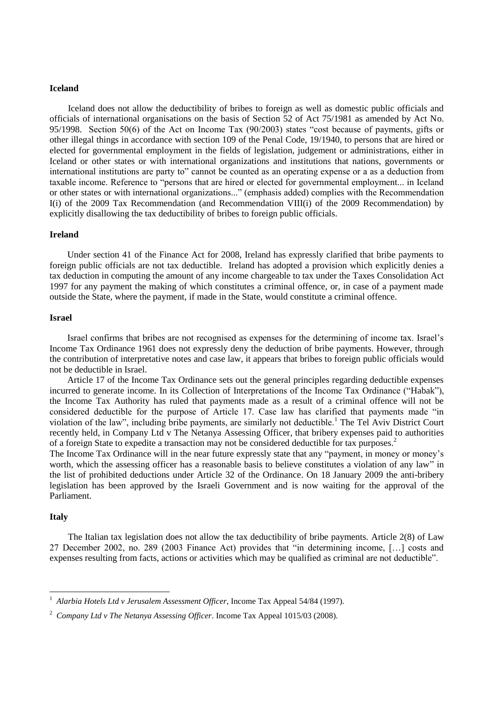#### **Iceland**

Iceland does not allow the deductibility of bribes to foreign as well as domestic public officials and officials of international organisations on the basis of Section 52 of Act 75/1981 as amended by Act No. 95/1998. Section 50(6) of the Act on Income Tax  $(90/2003)$  states "cost because of payments, gifts or other illegal things in accordance with section 109 of the Penal Code, 19/1940, to persons that are hired or elected for governmental employment in the fields of legislation, judgement or administrations, either in Iceland or other states or with international organizations and institutions that nations, governments or international institutions are party to" cannot be counted as an operating expense or a as a deduction from taxable income. Reference to "persons that are hired or elected for governmental employment... in Iceland or other states or with international organizations..." (emphasis added) complies with the Recommendation I(i) of the 2009 Tax Recommendation (and Recommendation VIII(i) of the 2009 Recommendation) by explicitly disallowing the tax deductibility of bribes to foreign public officials.

# **Ireland**

Under section 41 of the Finance Act for 2008, Ireland has expressly clarified that bribe payments to foreign public officials are not tax deductible. Ireland has adopted a provision which explicitly denies a tax deduction in computing the amount of any income chargeable to tax under the Taxes Consolidation Act 1997 for any payment the making of which constitutes a criminal offence, or, in case of a payment made outside the State, where the payment, if made in the State, would constitute a criminal offence.

#### **Israel**

Israel confirms that bribes are not recognised as expenses for the determining of income tax. Israel's Income Tax Ordinance 1961 does not expressly deny the deduction of bribe payments. However, through the contribution of interpretative notes and case law, it appears that bribes to foreign public officials would not be deductible in Israel.

Article 17 of the Income Tax Ordinance sets out the general principles regarding deductible expenses incurred to generate income. In its Collection of Interpretations of the Income Tax Ordinance ("Habak"), the Income Tax Authority has ruled that payments made as a result of a criminal offence will not be considered deductible for the purpose of Article 17. Case law has clarified that payments made "in violation of the law", including bribe payments, are similarly not deductible.<sup>1</sup> The Tel Aviv District Court recently held, in Company Ltd v The Netanya Assessing Officer, that bribery expenses paid to authorities of a foreign State to expedite a transaction may not be considered deductible for tax purposes.<sup>2</sup>

The Income Tax Ordinance will in the near future expressly state that any "payment, in money or money's worth, which the assessing officer has a reasonable basis to believe constitutes a violation of any law" in the list of prohibited deductions under Article 32 of the Ordinance. On 18 January 2009 the anti-bribery legislation has been approved by the Israeli Government and is now waiting for the approval of the Parliament.

## **Italy**

The Italian tax legislation does not allow the tax deductibility of bribe payments. Article 2(8) of Law 27 December 2002, no. 289 (2003 Finance Act) provides that "in determining income, [...] costs and expenses resulting from facts, actions or activities which may be qualified as criminal are not deductible".

 1 *Alarbia Hotels Ltd v Jerusalem Assessment Officer*, Income Tax Appeal 54/84 (1997).

<sup>2</sup> *Company Ltd v The Netanya Assessing Officer*. Income Tax Appeal 1015/03 (2008).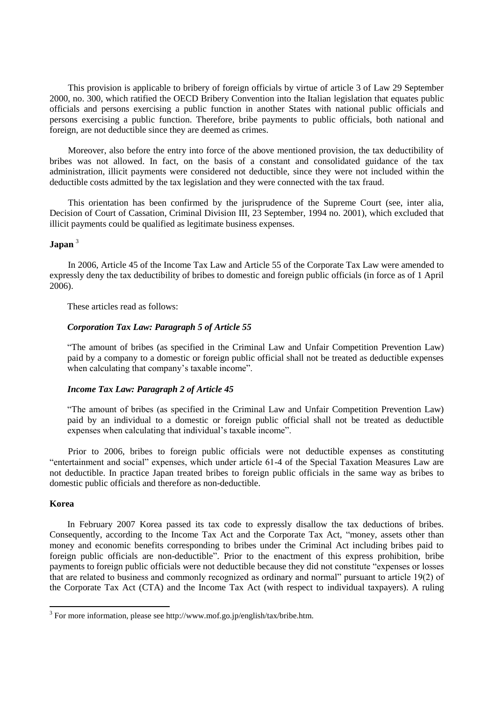This provision is applicable to bribery of foreign officials by virtue of article 3 of Law 29 September 2000, no. 300, which ratified the OECD Bribery Convention into the Italian legislation that equates public officials and persons exercising a public function in another States with national public officials and persons exercising a public function. Therefore, bribe payments to public officials, both national and foreign, are not deductible since they are deemed as crimes.

Moreover, also before the entry into force of the above mentioned provision, the tax deductibility of bribes was not allowed. In fact, on the basis of a constant and consolidated guidance of the tax administration, illicit payments were considered not deductible, since they were not included within the deductible costs admitted by the tax legislation and they were connected with the tax fraud.

This orientation has been confirmed by the jurisprudence of the Supreme Court (see, inter alia, Decision of Court of Cassation, Criminal Division III, 23 September, 1994 no. 2001), which excluded that illicit payments could be qualified as legitimate business expenses.

# **Japan** <sup>3</sup>

In 2006, Article 45 of the Income Tax Law and Article 55 of the Corporate Tax Law were amended to expressly deny the tax deductibility of bribes to domestic and foreign public officials (in force as of 1 April 2006).

These articles read as follows:

# *Corporation Tax Law: Paragraph 5 of Article 55*

―The amount of bribes (as specified in the Criminal Law and Unfair Competition Prevention Law) paid by a company to a domestic or foreign public official shall not be treated as deductible expenses when calculating that company's taxable income".

# *Income Tax Law: Paragraph 2 of Article 45*

―The amount of bribes (as specified in the Criminal Law and Unfair Competition Prevention Law) paid by an individual to a domestic or foreign public official shall not be treated as deductible expenses when calculating that individual's taxable income".

Prior to 2006, bribes to foreign public officials were not deductible expenses as constituting ―entertainment and social‖ expenses, which under article 61-4 of the Special Taxation Measures Law are not deductible. In practice Japan treated bribes to foreign public officials in the same way as bribes to domestic public officials and therefore as non-deductible.

## **Korea**

 $\overline{a}$ 

In February 2007 Korea passed its tax code to expressly disallow the tax deductions of bribes. Consequently, according to the Income Tax Act and the Corporate Tax Act, "money, assets other than money and economic benefits corresponding to bribes under the Criminal Act including bribes paid to foreign public officials are non-deductible". Prior to the enactment of this express prohibition, bribe payments to foreign public officials were not deductible because they did not constitute "expenses or losses" that are related to business and commonly recognized as ordinary and normal" pursuant to article  $19(2)$  of the Corporate Tax Act (CTA) and the Income Tax Act (with respect to individual taxpayers). A ruling

<sup>&</sup>lt;sup>3</sup> For more information, please see http://www.mof.go.jp/english/tax/bribe.htm.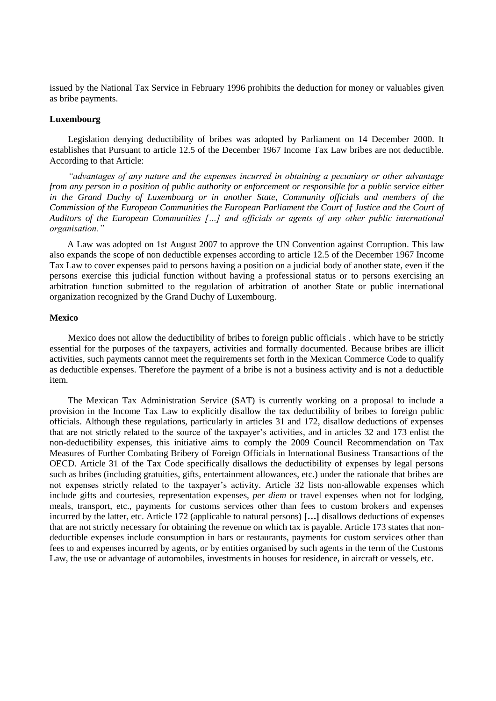issued by the National Tax Service in February 1996 prohibits the deduction for money or valuables given as bribe payments.

## **Luxembourg**

Legislation denying deductibility of bribes was adopted by Parliament on 14 December 2000. It establishes that Pursuant to article 12.5 of the December 1967 Income Tax Law bribes are not deductible. According to that Article:

*"advantages of any nature and the expenses incurred in obtaining a pecuniary or other advantage from any person in a position of public authority or enforcement or responsible for a public service either in the Grand Duchy of Luxembourg or in another State, Community officials and members of the Commission of the European Communities the European Parliament the Court of Justice and the Court of Auditors of the European Communities […] and officials or agents of any other public international organisation."*

A Law was adopted on 1st August 2007 to approve the UN Convention against Corruption. This law also expands the scope of non deductible expenses according to article 12.5 of the December 1967 Income Tax Law to cover expenses paid to persons having a position on a judicial body of another state, even if the persons exercise this judicial function without having a professional status or to persons exercising an arbitration function submitted to the regulation of arbitration of another State or public international organization recognized by the Grand Duchy of Luxembourg.

## **Mexico**

Mexico does not allow the deductibility of bribes to foreign public officials . which have to be strictly essential for the purposes of the taxpayers, activities and formally documented. Because bribes are illicit activities, such payments cannot meet the requirements set forth in the Mexican Commerce Code to qualify as deductible expenses. Therefore the payment of a bribe is not a business activity and is not a deductible item.

The Mexican Tax Administration Service (SAT) is currently working on a proposal to include a provision in the Income Tax Law to explicitly disallow the tax deductibility of bribes to foreign public officials. Although these regulations, particularly in articles 31 and 172, disallow deductions of expenses that are not strictly related to the source of the taxpayer's activities, and in articles 32 and 173 enlist the non-deductibility expenses, this initiative aims to comply the 2009 Council Recommendation on Tax Measures of Further Combating Bribery of Foreign Officials in International Business Transactions of the OECD. Article 31 of the Tax Code specifically disallows the deductibility of expenses by legal persons such as bribes (including gratuities, gifts, entertainment allowances, etc.) under the rationale that bribes are not expenses strictly related to the taxpayer's activity. Article 32 lists non-allowable expenses which include gifts and courtesies, representation expenses, *per diem* or travel expenses when not for lodging, meals, transport, etc., payments for customs services other than fees to custom brokers and expenses incurred by the latter, etc. Article 172 (applicable to natural persons) **[…]** disallows deductions of expenses that are not strictly necessary for obtaining the revenue on which tax is payable. Article 173 states that nondeductible expenses include consumption in bars or restaurants, payments for custom services other than fees to and expenses incurred by agents, or by entities organised by such agents in the term of the Customs Law, the use or advantage of automobiles, investments in houses for residence, in aircraft or vessels, etc.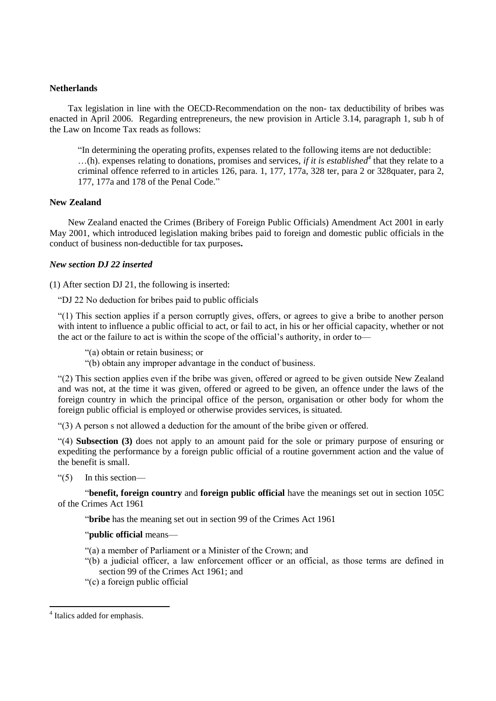# **Netherlands**

Tax legislation in line with the OECD-Recommendation on the non- tax deductibility of bribes was enacted in April 2006. Regarding entrepreneurs, the new provision in Article 3.14, paragraph 1, sub h of the Law on Income Tax reads as follows:

"In determining the operating profits, expenses related to the following items are not deductible: …(h). expenses relating to donations, promises and services, *if it is established<sup>4</sup>* that they relate to a criminal offence referred to in articles 126, para. 1, 177, 177a, 328 ter, para 2 or 328quater, para 2, 177, 177a and 178 of the Penal Code."

# **New Zealand**

New Zealand enacted the Crimes (Bribery of Foreign Public Officials) Amendment Act 2001 in early May 2001, which introduced legislation making bribes paid to foreign and domestic public officials in the conduct of business non-deductible for tax purposes**.** 

# *New section DJ 22 inserted*

(1) After section DJ 21, the following is inserted:

―DJ 22 No deduction for bribes paid to public officials

―(1) This section applies if a person corruptly gives, offers, or agrees to give a bribe to another person with intent to influence a public official to act, or fail to act, in his or her official capacity, whether or not the act or the failure to act is within the scope of the official's authority, in order to—

―(a) obtain or retain business; or

―(b) obtain any improper advantage in the conduct of business.

―(2) This section applies even if the bribe was given, offered or agreed to be given outside New Zealand and was not, at the time it was given, offered or agreed to be given, an offence under the laws of the foreign country in which the principal office of the person, organisation or other body for whom the foreign public official is employed or otherwise provides services, is situated.

―(3) A person s not allowed a deduction for the amount of the bribe given or offered.

―(4) **Subsection (3)** does not apply to an amount paid for the sole or primary purpose of ensuring or expediting the performance by a foreign public official of a routine government action and the value of the benefit is small.

 $\degree$ (5) In this section—

―**benefit, foreign country** and **foreign public official** have the meanings set out in section 105C of the Crimes Act 1961

―**bribe** has the meaning set out in section 99 of the Crimes Act 1961

# ―**public official** means—

- ―(a) a member of Parliament or a Minister of the Crown; and
- ―(b) a judicial officer, a law enforcement officer or an official, as those terms are defined in section 99 of the Crimes Act 1961; and
- ―(c) a foreign public official

 $\overline{a}$ 

<sup>&</sup>lt;sup>4</sup> Italics added for emphasis.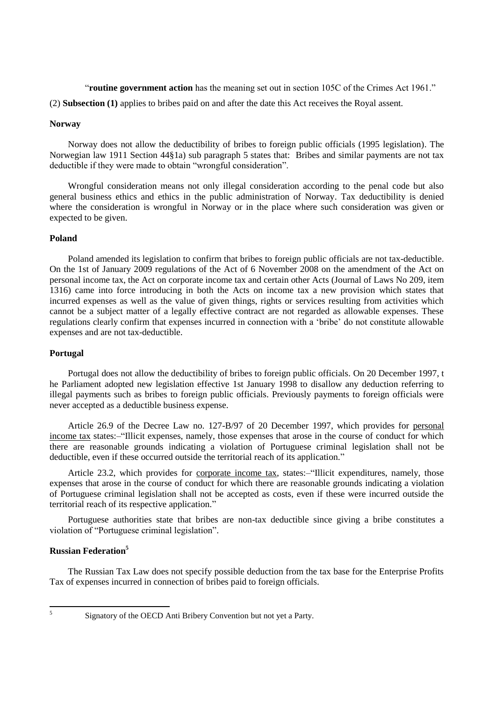"**routine government action** has the meaning set out in section 105C of the Crimes Act 1961."

(2) **Subsection (1)** applies to bribes paid on and after the date this Act receives the Royal assent.

# **Norway**

Norway does not allow the deductibility of bribes to foreign public officials (1995 legislation). The Norwegian law 1911 Section 44§1a) sub paragraph 5 states that: Bribes and similar payments are not tax deductible if they were made to obtain "wrongful consideration".

Wrongful consideration means not only illegal consideration according to the penal code but also general business ethics and ethics in the public administration of Norway. Tax deductibility is denied where the consideration is wrongful in Norway or in the place where such consideration was given or expected to be given.

# **Poland**

Poland amended its legislation to confirm that bribes to foreign public officials are not tax-deductible. On the 1st of January 2009 regulations of the Act of 6 November 2008 on the amendment of the Act on personal income tax, the Act on corporate income tax and certain other Acts (Journal of Laws No 209, item 1316) came into force introducing in both the Acts on income tax a new provision which states that incurred expenses as well as the value of given things, rights or services resulting from activities which cannot be a subject matter of a legally effective contract are not regarded as allowable expenses. These regulations clearly confirm that expenses incurred in connection with a 'bribe' do not constitute allowable expenses and are not tax-deductible.

# **Portugal**

Portugal does not allow the deductibility of bribes to foreign public officials. On 20 December 1997, t he Parliament adopted new legislation effective 1st January 1998 to disallow any deduction referring to illegal payments such as bribes to foreign public officials. Previously payments to foreign officials were never accepted as a deductible business expense.

Article 26.9 of the Decree Law no. 127-B/97 of 20 December 1997, which provides for personal income tax states:-"Illicit expenses, namely, those expenses that arose in the course of conduct for which there are reasonable grounds indicating a violation of Portuguese criminal legislation shall not be deductible, even if these occurred outside the territorial reach of its application."

Article 23.2, which provides for corporate income tax, states:—"Illicit expenditures, namely, those expenses that arose in the course of conduct for which there are reasonable grounds indicating a violation of Portuguese criminal legislation shall not be accepted as costs, even if these were incurred outside the territorial reach of its respective application."

Portuguese authorities state that bribes are non-tax deductible since giving a bribe constitutes a violation of "Portuguese criminal legislation".

# **Russian Federation<sup>5</sup>**

The Russian Tax Law does not specify possible deduction from the tax base for the Enterprise Profits Tax of expenses incurred in connection of bribes paid to foreign officials.

 $\frac{1}{5}$ 

Signatory of the OECD Anti Bribery Convention but not yet a Party.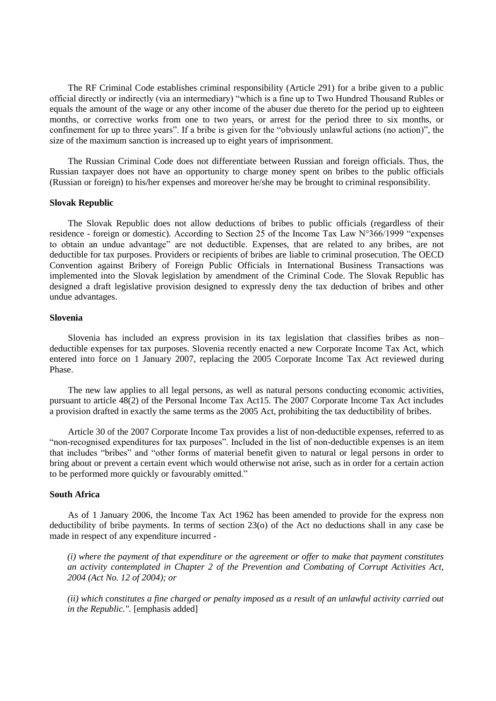The RF Criminal Code establishes criminal responsibility (Article 291) for a bribe given to a public official directly or indirectly (via an intermediary) "which is a fine up to Two Hundred Thousand Rubles or equals the amount of the wage or any other income of the abuser due thereto for the period up to eighteen months, or corrective works from one to two years, or arrest for the period three to six months, or confinement for up to three years". If a bribe is given for the "obviously unlawful actions (no action)", the size of the maximum sanction is increased up to eight years of imprisonment.

The Russian Criminal Code does not differentiate between Russian and foreign officials. Thus, the Russian taxpayer does not have an opportunity to charge money spent on bribes to the public officials (Russian or foreign) to his/her expenses and moreover he/she may be brought to criminal responsibility.

#### **Slovak Republic**

The Slovak Republic does not allow deductions of bribes to public officials (regardless of their residence - foreign or domestic). According to Section 25 of the Income Tax Law  $N^{\circ}366/1999$  "expenses to obtain an undue advantage" are not deductible. Expenses, that are related to any bribes, are not deductible for tax purposes. Providers or recipients of bribes are liable to criminal prosecution. The OECD Convention against Bribery of Foreign Public Officials in International Business Transactions was implemented into the Slovak legislation by amendment of the Criminal Code. The Slovak Republic has designed a draft legislative provision designed to expressly deny the tax deduction of bribes and other undue advantages.

#### **Slovenia**

Slovenia has included an express provision in its tax legislation that classifies bribes as non– deductible expenses for tax purposes. Slovenia recently enacted a new Corporate Income Tax Act, which entered into force on 1 January 2007, replacing the 2005 Corporate Income Tax Act reviewed during Phase.

The new law applies to all legal persons, as well as natural persons conducting economic activities, pursuant to article 48(2) of the Personal Income Tax Act15. The 2007 Corporate Income Tax Act includes a provision drafted in exactly the same terms as the 2005 Act, prohibiting the tax deductibility of bribes.

Article 30 of the 2007 Corporate Income Tax provides a list of non-deductible expenses, referred to as ―non-recognised expenditures for tax purposes‖. Included in the list of non-deductible expenses is an item that includes "bribes" and "other forms of material benefit given to natural or legal persons in order to bring about or prevent a certain event which would otherwise not arise, such as in order for a certain action to be performed more quickly or favourably omitted."

## **South Africa**

As of 1 January 2006, the Income Tax Act 1962 has been amended to provide for the express non deductibility of bribe payments. In terms of section 23(o) of the Act no deductions shall in any case be made in respect of any expenditure incurred -

*(i) where the payment of that expenditure or the agreement or offer to make that payment constitutes an activity contemplated in Chapter 2 of the Prevention and Combating of Corrupt Activities Act, 2004 (Act No. 12 of 2004); or*

*(ii) which constitutes a fine charged or penalty imposed as a result of an unlawful activity carried out in the Republic.".* [emphasis added]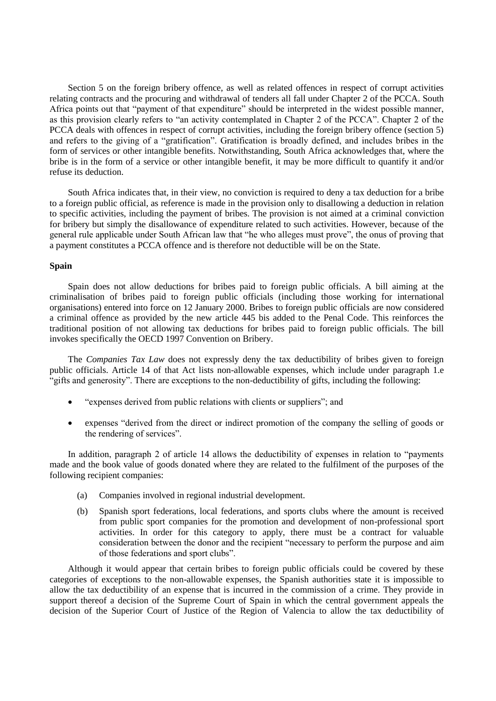Section 5 on the foreign bribery offence, as well as related offences in respect of corrupt activities relating contracts and the procuring and withdrawal of tenders all fall under Chapter 2 of the PCCA. South Africa points out that "payment of that expenditure" should be interpreted in the widest possible manner, as this provision clearly refers to "an activity contemplated in Chapter 2 of the PCCA". Chapter 2 of the PCCA deals with offences in respect of corrupt activities, including the foreign bribery offence (section 5) and refers to the giving of a "gratification". Gratification is broadly defined, and includes bribes in the form of services or other intangible benefits. Notwithstanding, South Africa acknowledges that, where the bribe is in the form of a service or other intangible benefit, it may be more difficult to quantify it and/or refuse its deduction.

South Africa indicates that, in their view, no conviction is required to deny a tax deduction for a bribe to a foreign public official, as reference is made in the provision only to disallowing a deduction in relation to specific activities, including the payment of bribes. The provision is not aimed at a criminal conviction for bribery but simply the disallowance of expenditure related to such activities. However, because of the general rule applicable under South African law that "he who alleges must prove", the onus of proving that a payment constitutes a PCCA offence and is therefore not deductible will be on the State.

# **Spain**

Spain does not allow deductions for bribes paid to foreign public officials. A bill aiming at the criminalisation of bribes paid to foreign public officials (including those working for international organisations) entered into force on 12 January 2000. Bribes to foreign public officials are now considered a criminal offence as provided by the new article 445 bis added to the Penal Code. This reinforces the traditional position of not allowing tax deductions for bribes paid to foreign public officials. The bill invokes specifically the OECD 1997 Convention on Bribery.

The *Companies Tax Law* does not expressly deny the tax deductibility of bribes given to foreign public officials. Article 14 of that Act lists non-allowable expenses, which include under paragraph 1.e "gifts and generosity". There are exceptions to the non-deductibility of gifts, including the following:

- "expenses derived from public relations with clients or suppliers"; and
- expenses "derived from the direct or indirect promotion of the company the selling of goods or the rendering of services".

In addition, paragraph 2 of article 14 allows the deductibility of expenses in relation to "payments" made and the book value of goods donated where they are related to the fulfilment of the purposes of the following recipient companies:

- (a) Companies involved in regional industrial development.
- (b) Spanish sport federations, local federations, and sports clubs where the amount is received from public sport companies for the promotion and development of non-professional sport activities. In order for this category to apply, there must be a contract for valuable consideration between the donor and the recipient "necessary to perform the purpose and aim of those federations and sport clubs".

Although it would appear that certain bribes to foreign public officials could be covered by these categories of exceptions to the non-allowable expenses, the Spanish authorities state it is impossible to allow the tax deductibility of an expense that is incurred in the commission of a crime. They provide in support thereof a decision of the Supreme Court of Spain in which the central government appeals the decision of the Superior Court of Justice of the Region of Valencia to allow the tax deductibility of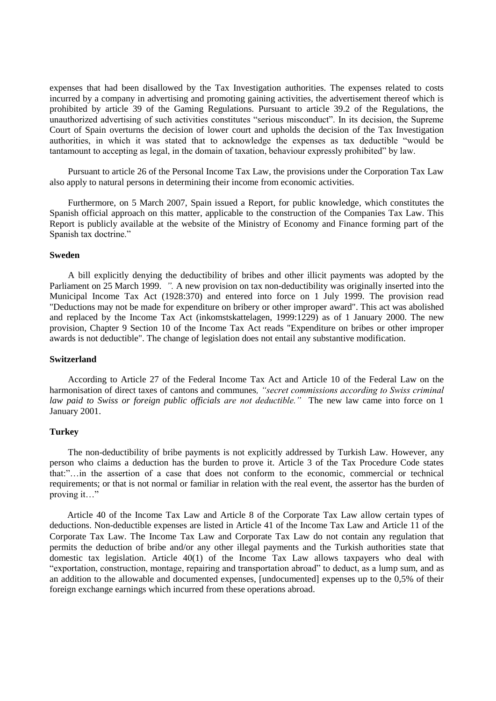expenses that had been disallowed by the Tax Investigation authorities. The expenses related to costs incurred by a company in advertising and promoting gaining activities, the advertisement thereof which is prohibited by article 39 of the Gaming Regulations. Pursuant to article 39.2 of the Regulations, the unauthorized advertising of such activities constitutes "serious misconduct". In its decision, the Supreme Court of Spain overturns the decision of lower court and upholds the decision of the Tax Investigation authorities, in which it was stated that to acknowledge the expenses as tax deductible "would be tantamount to accepting as legal, in the domain of taxation, behaviour expressly prohibited" by law.

Pursuant to article 26 of the Personal Income Tax Law, the provisions under the Corporation Tax Law also apply to natural persons in determining their income from economic activities.

Furthermore, on 5 March 2007, Spain issued a Report, for public knowledge, which constitutes the Spanish official approach on this matter, applicable to the construction of the Companies Tax Law. This Report is publicly available at the website of the Ministry of Economy and Finance forming part of the Spanish tax doctrine."

## **Sweden**

A bill explicitly denying the deductibility of bribes and other illicit payments was adopted by the Parliament on 25 March 1999. *".* A new provision on tax non-deductibility was originally inserted into the Municipal Income Tax Act (1928:370) and entered into force on 1 July 1999. The provision read "Deductions may not be made for expenditure on bribery or other improper award". This act was abolished and replaced by the Income Tax Act (inkomstskattelagen, 1999:1229) as of 1 January 2000. The new provision, Chapter 9 Section 10 of the Income Tax Act reads "Expenditure on bribes or other improper awards is not deductible". The change of legislation does not entail any substantive modification.

## **Switzerland**

According to Article 27 of the Federal Income Tax Act and Article 10 of the Federal Law on the harmonisation of direct taxes of cantons and communes*, "secret commissions according to Swiss criminal law paid to Swiss or foreign public officials are not deductible."* The new law came into force on 1 January 2001.

## **Turkey**

The non-deductibility of bribe payments is not explicitly addressed by Turkish Law. However, any person who claims a deduction has the burden to prove it. Article 3 of the Tax Procedure Code states that:"...in the assertion of a case that does not conform to the economic, commercial or technical requirements; or that is not normal or familiar in relation with the real event, the assertor has the burden of proving it…"

Article 40 of the Income Tax Law and Article 8 of the Corporate Tax Law allow certain types of deductions. Non-deductible expenses are listed in Article 41 of the Income Tax Law and Article 11 of the Corporate Tax Law. The Income Tax Law and Corporate Tax Law do not contain any regulation that permits the deduction of bribe and/or any other illegal payments and the Turkish authorities state that domestic tax legislation. Article 40(1) of the Income Tax Law allows taxpayers who deal with "exportation, construction, montage, repairing and transportation abroad" to deduct, as a lump sum, and as an addition to the allowable and documented expenses, [undocumented] expenses up to the 0,5% of their foreign exchange earnings which incurred from these operations abroad.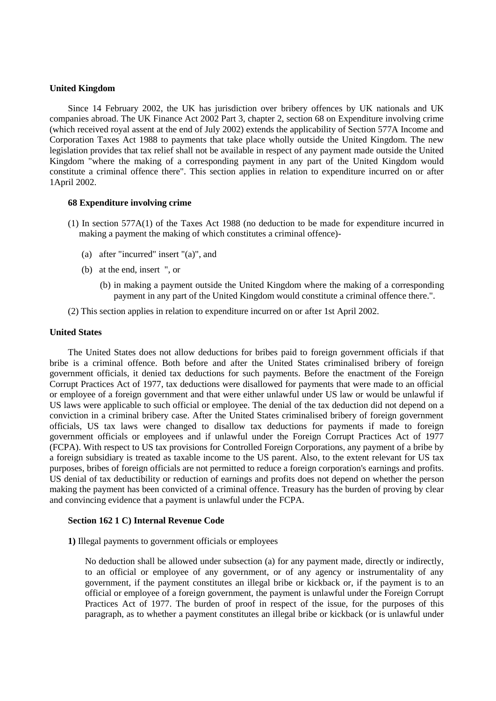## **United Kingdom**

Since 14 February 2002, the UK has jurisdiction over bribery offences by UK nationals and UK companies abroad. The UK Finance Act 2002 Part 3, chapter 2, section 68 on Expenditure involving crime (which received royal assent at the end of July 2002) extends the applicability of Section 577A Income and Corporation Taxes Act 1988 to payments that take place wholly outside the United Kingdom. The new legislation provides that tax relief shall not be available in respect of any payment made outside the United Kingdom "where the making of a corresponding payment in any part of the United Kingdom would constitute a criminal offence there". This section applies in relation to expenditure incurred on or after 1April 2002.

## **68 Expenditure involving crime**

- (1) In section 577A(1) of the Taxes Act 1988 (no deduction to be made for expenditure incurred in making a payment the making of which constitutes a criminal offence)-
	- (a) after "incurred" insert "(a)", and
	- (b) at the end, insert ", or
		- (b) in making a payment outside the United Kingdom where the making of a corresponding payment in any part of the United Kingdom would constitute a criminal offence there.".
- (2) This section applies in relation to expenditure incurred on or after 1st April 2002.

## **United States**

The United States does not allow deductions for bribes paid to foreign government officials if that bribe is a criminal offence. Both before and after the United States criminalised bribery of foreign government officials, it denied tax deductions for such payments. Before the enactment of the Foreign Corrupt Practices Act of 1977, tax deductions were disallowed for payments that were made to an official or employee of a foreign government and that were either unlawful under US law or would be unlawful if US laws were applicable to such official or employee. The denial of the tax deduction did not depend on a conviction in a criminal bribery case. After the United States criminalised bribery of foreign government officials, US tax laws were changed to disallow tax deductions for payments if made to foreign government officials or employees and if unlawful under the Foreign Corrupt Practices Act of 1977 (FCPA). With respect to US tax provisions for Controlled Foreign Corporations, any payment of a bribe by a foreign subsidiary is treated as taxable income to the US parent. Also, to the extent relevant for US tax purposes, bribes of foreign officials are not permitted to reduce a foreign corporation's earnings and profits. US denial of tax deductibility or reduction of earnings and profits does not depend on whether the person making the payment has been convicted of a criminal offence. Treasury has the burden of proving by clear and convincing evidence that a payment is unlawful under the FCPA.

### **Section 162 1 C) Internal Revenue Code**

**1)** Illegal payments to government officials or employees

No deduction shall be allowed under subsection (a) for any payment made, directly or indirectly, to an official or employee of any government, or of any agency or instrumentality of any government, if the payment constitutes an illegal bribe or kickback or, if the payment is to an official or employee of a foreign government, the payment is unlawful under the Foreign Corrupt Practices Act of 1977. The burden of proof in respect of the issue, for the purposes of this paragraph, as to whether a payment constitutes an illegal bribe or kickback (or is unlawful under